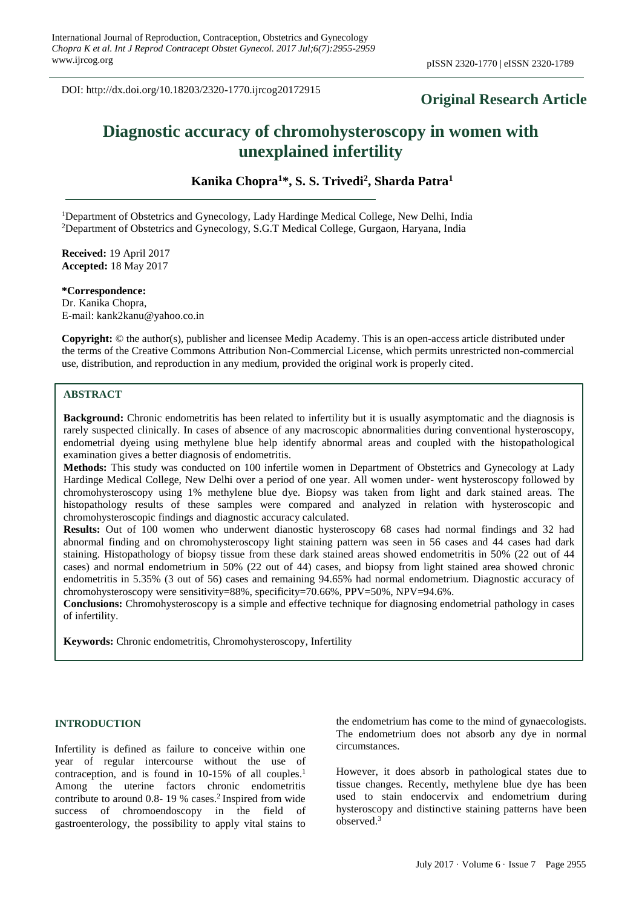DOI: http://dx.doi.org/10.18203/2320-1770.ijrcog20172915

# **Original Research Article**

# **Diagnostic accuracy of chromohysteroscopy in women with unexplained infertility**

**Kanika Chopra<sup>1</sup>\*, S. S. Trivedi<sup>2</sup> , Sharda Patra<sup>1</sup>**

<sup>1</sup>Department of Obstetrics and Gynecology, Lady Hardinge Medical College, New Delhi, India <sup>2</sup>Department of Obstetrics and Gynecology, S.G.T Medical College, Gurgaon, Haryana, India

**Received:** 19 April 2017 **Accepted:** 18 May 2017

**\*Correspondence:** Dr. Kanika Chopra, E-mail: kank2kanu@yahoo.co.in

**Copyright:** © the author(s), publisher and licensee Medip Academy. This is an open-access article distributed under the terms of the Creative Commons Attribution Non-Commercial License, which permits unrestricted non-commercial use, distribution, and reproduction in any medium, provided the original work is properly cited.

#### **ABSTRACT**

**Background:** Chronic endometritis has been related to infertility but it is usually asymptomatic and the diagnosis is rarely suspected clinically. In cases of absence of any macroscopic abnormalities during conventional hysteroscopy, endometrial dyeing using methylene blue help identify abnormal areas and coupled with the histopathological examination gives a better diagnosis of endometritis.

**Methods:** This study was conducted on 100 infertile women in Department of Obstetrics and Gynecology at Lady Hardinge Medical College, New Delhi over a period of one year. All women under- went hysteroscopy followed by chromohysteroscopy using 1% methylene blue dye. Biopsy was taken from light and dark stained areas. The histopathology results of these samples were compared and analyzed in relation with hysteroscopic and chromohysteroscopic findings and diagnostic accuracy calculated.

**Results:** Out of 100 women who underwent dianostic hysteroscopy 68 cases had normal findings and 32 had abnormal finding and on chromohysteroscopy light staining pattern was seen in 56 cases and 44 cases had dark staining. Histopathology of biopsy tissue from these dark stained areas showed endometritis in 50% (22 out of 44 cases) and normal endometrium in 50% (22 out of 44) cases, and biopsy from light stained area showed chronic endometritis in 5.35% (3 out of 56) cases and remaining 94.65% had normal endometrium. Diagnostic accuracy of chromohysteroscopy were sensitivity=88%, specificity=70.66%, PPV=50%, NPV=94.6%.

**Conclusions:** Chromohysteroscopy is a simple and effective technique for diagnosing endometrial pathology in cases of infertility.

**Keywords:** Chronic endometritis, Chromohysteroscopy, Infertility

# **INTRODUCTION**

Infertility is defined as failure to conceive within one year of regular intercourse without the use of contraception, and is found in 10-15% of all couples.<sup>1</sup> Among the uterine factors chronic endometritis contribute to around 0.8-19 % cases.<sup>2</sup> Inspired from wide success of chromoendoscopy in the field of gastroenterology, the possibility to apply vital stains to the endometrium has come to the mind of gynaecologists. The endometrium does not absorb any dye in normal circumstances.

However, it does absorb in pathological states due to tissue changes. Recently, methylene blue dye has been used to stain endocervix and endometrium during hysteroscopy and distinctive staining patterns have been observed.<sup>3</sup>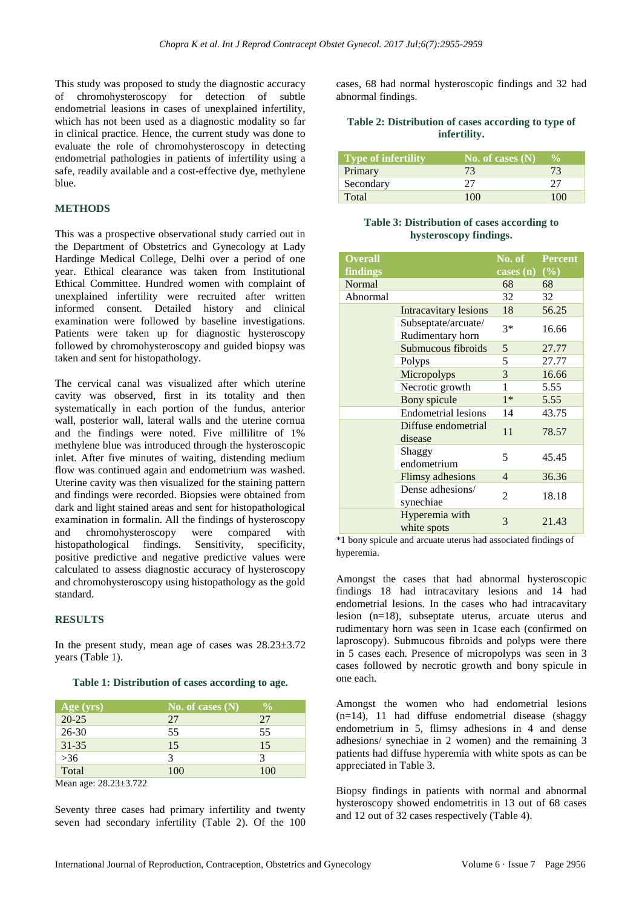This study was proposed to study the diagnostic accuracy of chromohysteroscopy for detection of subtle endometrial leasions in cases of unexplained infertility, which has not been used as a diagnostic modality so far in clinical practice. Hence, the current study was done to evaluate the role of chromohysteroscopy in detecting endometrial pathologies in patients of infertility using a safe, readily available and a cost-effective dye, methylene blue.

# **METHODS**

This was a prospective observational study carried out in the Department of Obstetrics and Gynecology at Lady Hardinge Medical College, Delhi over a period of one year. Ethical clearance was taken from Institutional Ethical Committee. Hundred women with complaint of unexplained infertility were recruited after written informed consent. Detailed history and clinical examination were followed by baseline investigations. Patients were taken up for diagnostic hysteroscopy followed by chromohysteroscopy and guided biopsy was taken and sent for histopathology.

The cervical canal was visualized after which uterine cavity was observed, first in its totality and then systematically in each portion of the fundus, anterior wall, posterior wall, lateral walls and the uterine cornua and the findings were noted. Five millilitre of 1% methylene blue was introduced through the hysteroscopic inlet. After five minutes of waiting, distending medium flow was continued again and endometrium was washed. Uterine cavity was then visualized for the staining pattern and findings were recorded. Biopsies were obtained from dark and light stained areas and sent for histopathological examination in formalin. All the findings of hysteroscopy and chromohysteroscopy were compared with histopathological findings. Sensitivity, specificity, positive predictive and negative predictive values were calculated to assess diagnostic accuracy of hysteroscopy and chromohysteroscopy using histopathology as the gold standard.

#### **RESULTS**

In the present study, mean age of cases was  $28.23 \pm 3.72$ years (Table 1).

#### **Table 1: Distribution of cases according to age.**

| Age (yrs)          | No. of cases $(N)$ | $\frac{0}{0}$ |
|--------------------|--------------------|---------------|
| $\overline{20-25}$ | 27                 | 27            |
| $26 - 30$          | 55                 | 55            |
| $31 - 35$          | 15                 | 15            |
| $>36$              |                    |               |
| Total              | 100                | 100           |

Mean age: 28.23±3.722

Seventy three cases had primary infertility and twenty seven had secondary infertility (Table 2). Of the 100 cases, 68 had normal hysteroscopic findings and 32 had abnormal findings.

#### **Table 2: Distribution of cases according to type of infertility.**

| <b>Type of infertility</b> | No. of cases $(N)$ | $\frac{6}{10}$ |
|----------------------------|--------------------|----------------|
| Primary                    | 73                 | 73             |
| Secondary                  | 27                 | 27             |
| Total                      | 100                | 100            |

# **Table 3: Distribution of cases according to hysteroscopy findings.**

| <b>Overall</b> |                                         | No. of                    | <b>Percent</b> |
|----------------|-----------------------------------------|---------------------------|----------------|
| findings       |                                         | cases (n) $(\frac{6}{6})$ |                |
| Normal         |                                         | 68                        | 68             |
| Abnormal       |                                         | 32                        | 32             |
|                | <b>Intracavitary lesions</b>            | 18                        | 56.25          |
|                | Subseptate/arcuate/<br>Rudimentary horn | $3*$                      | 16.66          |
|                | Submucous fibroids                      | 5                         | 27.77          |
|                | Polyps                                  | 5                         | 27.77          |
|                | Micropolyps                             | 3                         | 16.66          |
|                | Necrotic growth                         | 1                         | 5.55           |
|                | Bony spicule                            | $1*$                      | 5.55           |
|                | <b>Endometrial lesions</b>              | 14                        | 43.75          |
|                | Diffuse endometrial<br>disease          | 11                        | 78.57          |
|                | Shaggy<br>endometrium                   | 5                         | 45.45          |
|                | Flimsy adhesions                        | 4                         | 36.36          |
|                | Dense adhesions/<br>synechiae           | 2                         | 18.18          |
|                | Hyperemia with<br>white spots           | 3                         | 21.43          |

\*1 bony spicule and arcuate uterus had associated findings of hyperemia.

Amongst the cases that had abnormal hysteroscopic findings 18 had intracavitary lesions and 14 had endometrial lesions. In the cases who had intracavitary lesion (n=18), subseptate uterus, arcuate uterus and rudimentary horn was seen in 1case each (confirmed on laproscopy). Submucous fibroids and polyps were there in 5 cases each. Presence of micropolyps was seen in 3 cases followed by necrotic growth and bony spicule in one each.

Amongst the women who had endometrial lesions  $(n=14)$ , 11 had diffuse endometrial disease (shaggy endometrium in 5, flimsy adhesions in 4 and dense adhesions/ synechiae in 2 women) and the remaining 3 patients had diffuse hyperemia with white spots as can be appreciated in Table 3.

Biopsy findings in patients with normal and abnormal hysteroscopy showed endometritis in 13 out of 68 cases and 12 out of 32 cases respectively (Table 4).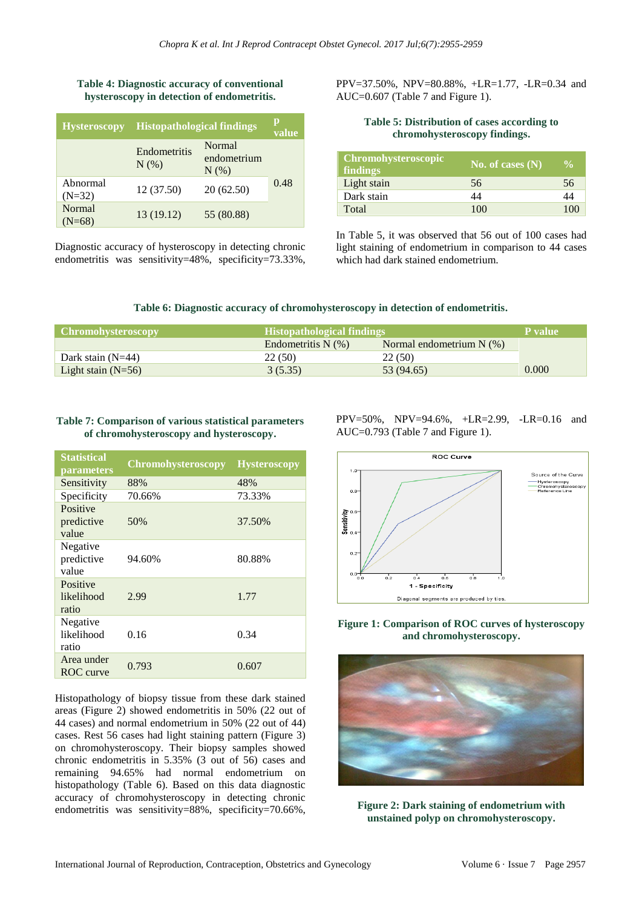# **Table 4: Diagnostic accuracy of conventional hysteroscopy in detection of endometritis.**

| <b>Hysteroscopy</b>  | <b>Histopathological findings</b> |                                | value |
|----------------------|-----------------------------------|--------------------------------|-------|
|                      | Endometritis<br>N(% )             | Normal<br>endometrium<br>N(% ) |       |
| Abnormal<br>$(N=32)$ | 12 (37.50)                        | 20(62.50)                      | 0.48  |
| Normal<br>$(N=68)$   | 13 (19.12)                        | 55 (80.88)                     |       |

Diagnostic accuracy of hysteroscopy in detecting chronic endometritis was sensitivity=48%, specificity=73.33%,

PPV=37.50%, NPV=80.88%, +LR=1.77, -LR=0.34 and AUC=0.607 (Table 7 and Figure 1).

# **Table 5: Distribution of cases according to chromohysteroscopy findings.**

| <b>Chromohysteroscopic</b><br>findings | $\overline{\rm No.}$ of cases $\overline{\rm (N)}$ | $\frac{6}{10}$ |
|----------------------------------------|----------------------------------------------------|----------------|
| Light stain                            | 56                                                 | 56             |
| Dark stain                             | 14                                                 | 44             |
| Total                                  | 100                                                | $-10$          |

In Table 5, it was observed that 56 out of 100 cases had light staining of endometrium in comparison to 44 cases which had dark stained endometrium.

# **Table 6: Diagnostic accuracy of chromohysteroscopy in detection of endometritis.**

| <b>Chromohysteroscopy</b> | <b>Histopathological findings</b> |                            | P value |
|---------------------------|-----------------------------------|----------------------------|---------|
|                           | Endometritis $N(\%)$              | Normal endometrium $N$ (%) |         |
| Dark stain $(N=44)$       | 22(50)                            | 22 (50)                    |         |
| Light stain $(N=56)$      | 3(5.35)                           | 53 (94.65)                 | 0.000   |

#### **Table 7: Comparison of various statistical parameters of chromohysteroscopy and hysteroscopy.**

| <b>Statistical</b><br>parameters | <b>Chromohysteroscopy</b> | <b>Hysteroscopy</b> |
|----------------------------------|---------------------------|---------------------|
| Sensitivity                      | 88%                       | 48%                 |
| Specificity                      | 70.66%                    | 73.33%              |
| Positive<br>predictive<br>value  | 50%                       | 37.50%              |
| Negative<br>predictive<br>value  | 94.60%                    | 80.88%              |
| Positive<br>likelihood<br>ratio  | 2.99                      | 1.77                |
| Negative<br>likelihood<br>ratio  | 0.16                      | 0.34                |
| Area under<br>ROC curve          | 0.793                     | 0.607               |

Histopathology of biopsy tissue from these dark stained areas (Figure 2) showed endometritis in 50% (22 out of 44 cases) and normal endometrium in 50% (22 out of 44) cases. Rest 56 cases had light staining pattern (Figure 3) on chromohysteroscopy. Their biopsy samples showed chronic endometritis in 5.35% (3 out of 56) cases and remaining 94.65% had normal endometrium on histopathology (Table 6). Based on this data diagnostic accuracy of chromohysteroscopy in detecting chronic endometritis was sensitivity=88%, specificity=70.66%, PPV=50%, NPV=94.6%, +LR=2.99, -LR=0.16 and AUC=0.793 (Table 7 and Figure 1).



**Figure 1: Comparison of ROC curves of hysteroscopy and chromohysteroscopy.**



**Figure 2: Dark staining of endometrium with unstained polyp on chromohysteroscopy.**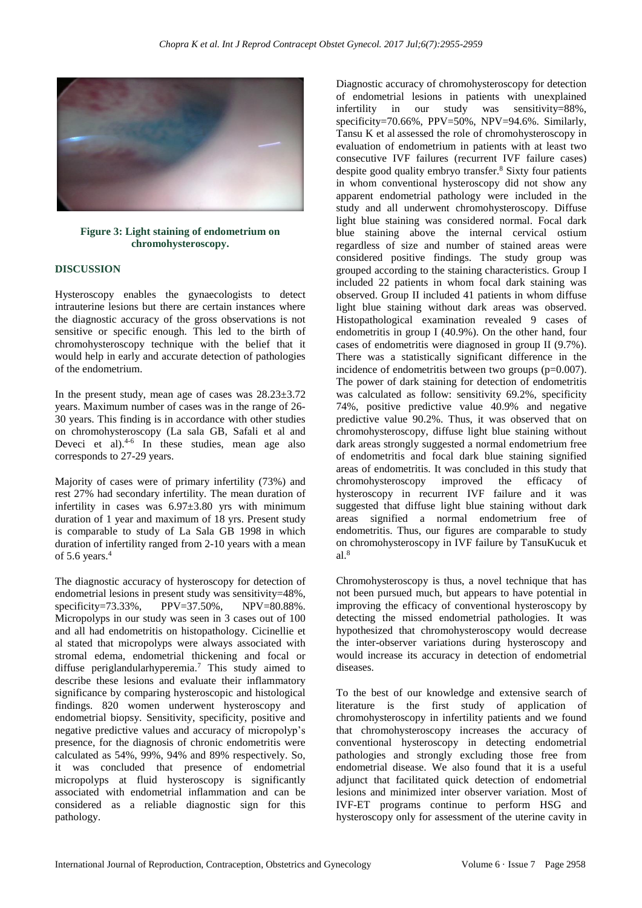

**Figure 3: Light staining of endometrium on chromohysteroscopy.**

#### **DISCUSSION**

Hysteroscopy enables the gynaecologists to detect intrauterine lesions but there are certain instances where the diagnostic accuracy of the gross observations is not sensitive or specific enough. This led to the birth of chromohysteroscopy technique with the belief that it would help in early and accurate detection of pathologies of the endometrium.

In the present study, mean age of cases was 28.23±3.72 years. Maximum number of cases was in the range of 26- 30 years. This finding is in accordance with other studies on chromohysteroscopy (La sala GB, Safali et al and Deveci et al).<sup>4-6</sup> In these studies, mean age also corresponds to 27-29 years.

Majority of cases were of primary infertility (73%) and rest 27% had secondary infertility. The mean duration of infertility in cases was 6.97±3.80 yrs with minimum duration of 1 year and maximum of 18 yrs. Present study is comparable to study of La Sala GB 1998 in which duration of infertility ranged from 2-10 years with a mean of 5.6 years. $4$ 

The diagnostic accuracy of hysteroscopy for detection of endometrial lesions in present study was sensitivity=48%, specificity=73.33%, PPV=37.50%, NPV=80.88%. Micropolyps in our study was seen in 3 cases out of 100 and all had endometritis on histopathology. Cicinellie et al stated that micropolyps were always associated with stromal edema, endometrial thickening and focal or diffuse periglandularhyperemia.<sup>7</sup> This study aimed to describe these lesions and evaluate their inflammatory significance by comparing hysteroscopic and histological findings. 820 women underwent hysteroscopy and endometrial biopsy. Sensitivity, specificity, positive and negative predictive values and accuracy of micropolyp's presence, for the diagnosis of chronic endometritis were calculated as 54%, 99%, 94% and 89% respectively. So, it was concluded that presence of endometrial micropolyps at fluid hysteroscopy is significantly associated with endometrial inflammation and can be considered as a reliable diagnostic sign for this pathology.

Diagnostic accuracy of chromohysteroscopy for detection of endometrial lesions in patients with unexplained infertility in our study was sensitivity=88%, specificity=70.66%, PPV=50%, NPV=94.6%. Similarly, Tansu K et al assessed the role of chromohysteroscopy in evaluation of endometrium in patients with at least two consecutive IVF failures (recurrent IVF failure cases) despite good quality embryo transfer.<sup>8</sup> Sixty four patients in whom conventional hysteroscopy did not show any apparent endometrial pathology were included in the study and all underwent chromohysteroscopy. Diffuse light blue staining was considered normal. Focal dark blue staining above the internal cervical ostium regardless of size and number of stained areas were considered positive findings. The study group was grouped according to the staining characteristics. Group I included 22 patients in whom focal dark staining was observed. Group II included 41 patients in whom diffuse light blue staining without dark areas was observed. Histopathological examination revealed 9 cases of endometritis in group I (40.9%). On the other hand, four cases of endometritis were diagnosed in group II (9.7%). There was a statistically significant difference in the incidence of endometritis between two groups (p=0.007). The power of dark staining for detection of endometritis was calculated as follow: sensitivity 69.2%, specificity 74%, positive predictive value 40.9% and negative predictive value 90.2%. Thus, it was observed that on chromohysteroscopy, diffuse light blue staining without dark areas strongly suggested a normal endometrium free of endometritis and focal dark blue staining signified areas of endometritis. It was concluded in this study that chromohysteroscopy improved the efficacy of hysteroscopy in recurrent IVF failure and it was suggested that diffuse light blue staining without dark areas signified a normal endometrium free of endometritis. Thus, our figures are comparable to study on chromohysteroscopy in IVF failure by TansuKucuk et al. 8

Chromohysteroscopy is thus, a novel technique that has not been pursued much, but appears to have potential in improving the efficacy of conventional hysteroscopy by detecting the missed endometrial pathologies. It was hypothesized that chromohysteroscopy would decrease the inter-observer variations during hysteroscopy and would increase its accuracy in detection of endometrial diseases.

To the best of our knowledge and extensive search of literature is the first study of application of chromohysteroscopy in infertility patients and we found that chromohysteroscopy increases the accuracy of conventional hysteroscopy in detecting endometrial pathologies and strongly excluding those free from endometrial disease. We also found that it is a useful adjunct that facilitated quick detection of endometrial lesions and minimized inter observer variation. Most of IVF-ET programs continue to perform HSG and hysteroscopy only for assessment of the uterine cavity in